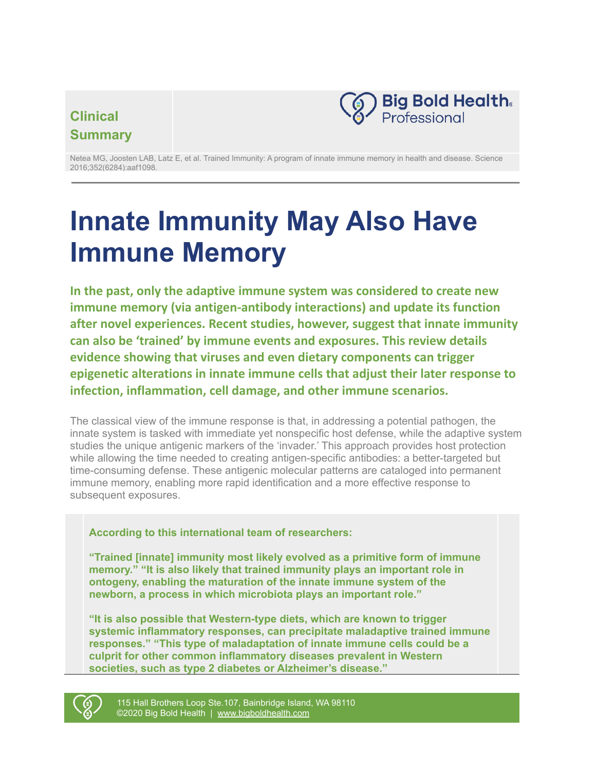# **Clinical Summary**



Netea MG, Joosten LAB, Latz E, et al. Trained Immunity: A program of innate immune memory in health and disease. Science 2016;352(6284):aaf1098.

# **Innate Immunity May Also Have Immune Memory**

**In the past, only the adaptive immune system was considered to create new immune memory (via antigen-antibody interactions) and update its function after novel experiences. Recent studies, however, suggest that innate immunity can also be 'trained' by immune events and exposures. This review details evidence showing that viruses and even dietary components can trigger epigenetic alterations in innate immune cells that adjust their later response to infection, inflammation, cell damage, and other immune scenarios.**

The classical view of the immune response is that, in addressing a potential pathogen, the innate system is tasked with immediate yet nonspecific host defense, while the adaptive system studies the unique antigenic markers of the 'invader.' This approach provides host protection while allowing the time needed to creating antigen-specific antibodies: a better-targeted but time-consuming defense. These antigenic molecular patterns are cataloged into permanent immune memory, enabling more rapid identification and a more effective response to subsequent exposures.

## **According to this international team of researchers:**

**"Trained [innate] immunity most likely evolved as a primitive form of immune memory." "It is also likely that trained immunity plays an important role in ontogeny, enabling the maturation of the innate immune system of the newborn, a process in which microbiota plays an important role."**

**"It is also possible that Western-type diets, which are known to trigger systemic inflammatory responses, can precipitate maladaptive trained immune responses." "This type of maladaptation of innate immune cells could be a culprit for other common inflammatory diseases prevalent in Western societies, such as type 2 diabetes or Alzheimer's disease."**



115 Hall Brothers Loop Ste.107, Bainbridge Island, WA 98110 ©2020 Big Bold Health | [www.bigboldhealth.com](http://www.bigboldhealth.com)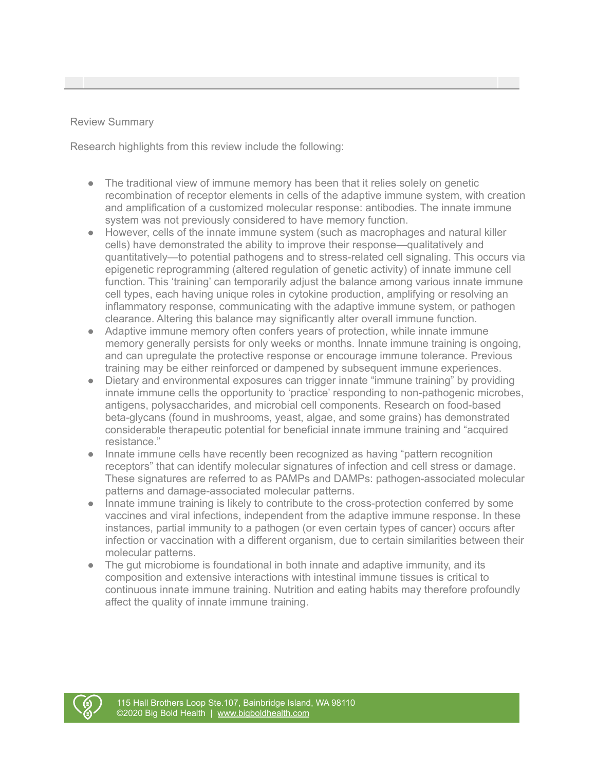### Review Summary

Research highlights from this review include the following:

- The traditional view of immune memory has been that it relies solely on genetic recombination of receptor elements in cells of the adaptive immune system, with creation and amplification of a customized molecular response: antibodies. The innate immune system was not previously considered to have memory function.
- However, cells of the innate immune system (such as macrophages and natural killer cells) have demonstrated the ability to improve their response—qualitatively and quantitatively—to potential pathogens and to stress-related cell signaling. This occurs via epigenetic reprogramming (altered regulation of genetic activity) of innate immune cell function. This 'training' can temporarily adjust the balance among various innate immune cell types, each having unique roles in cytokine production, amplifying or resolving an inflammatory response, communicating with the adaptive immune system, or pathogen clearance. Altering this balance may significantly alter overall immune function.
- Adaptive immune memory often confers years of protection, while innate immune memory generally persists for only weeks or months. Innate immune training is ongoing, and can upregulate the protective response or encourage immune tolerance. Previous training may be either reinforced or dampened by subsequent immune experiences.
- Dietary and environmental exposures can trigger innate "immune training" by providing innate immune cells the opportunity to 'practice' responding to non-pathogenic microbes, antigens, polysaccharides, and microbial cell components. Research on food-based beta-glycans (found in mushrooms, yeast, algae, and some grains) has demonstrated considerable therapeutic potential for beneficial innate immune training and "acquired resistance."
- Innate immune cells have recently been recognized as having "pattern recognition receptors" that can identify molecular signatures of infection and cell stress or damage. These signatures are referred to as PAMPs and DAMPs: pathogen-associated molecular patterns and damage-associated molecular patterns.
- Innate immune training is likely to contribute to the cross-protection conferred by some vaccines and viral infections, independent from the adaptive immune response. In these instances, partial immunity to a pathogen (or even certain types of cancer) occurs after infection or vaccination with a different organism, due to certain similarities between their molecular patterns.
- The gut microbiome is foundational in both innate and adaptive immunity, and its composition and extensive interactions with intestinal immune tissues is critical to continuous innate immune training. Nutrition and eating habits may therefore profoundly affect the quality of innate immune training.